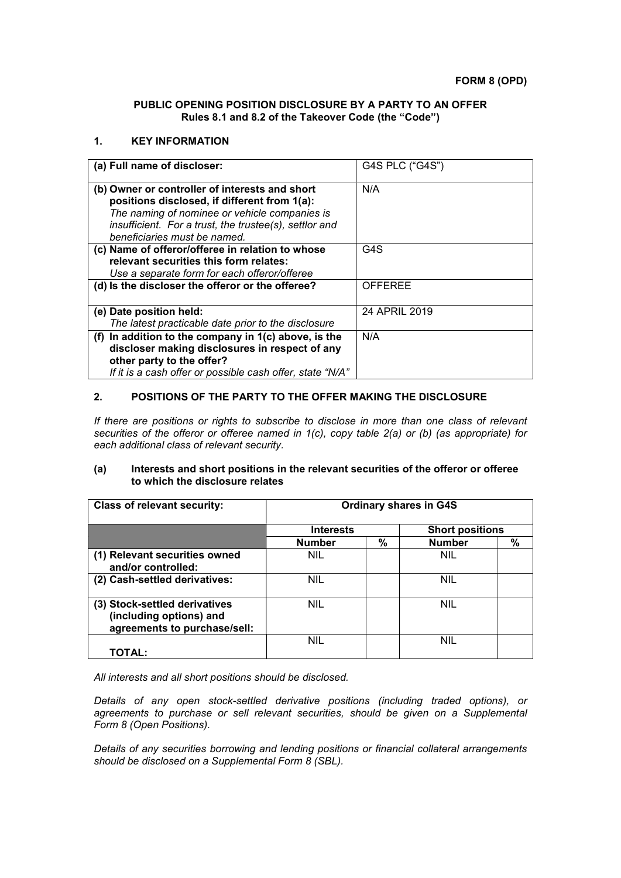### PUBLIC OPENING POSITION DISCLOSURE BY A PARTY TO AN OFFER Rules 8.1 and 8.2 of the Takeover Code (the "Code")

## 1. KEY INFORMATION

| (a) Full name of discloser:                                                                                                                                                                                                               | G4S PLC ("G4S") |
|-------------------------------------------------------------------------------------------------------------------------------------------------------------------------------------------------------------------------------------------|-----------------|
| (b) Owner or controller of interests and short<br>positions disclosed, if different from 1(a):<br>The naming of nominee or vehicle companies is<br>insufficient. For a trust, the trustee(s), settlor and<br>beneficiaries must be named. | N/A             |
| (c) Name of offeror/offeree in relation to whose<br>relevant securities this form relates:<br>Use a separate form for each offeror/offeree                                                                                                | G4S             |
| (d) Is the discloser the offeror or the offeree?                                                                                                                                                                                          | <b>OFFEREE</b>  |
| (e) Date position held:<br>The latest practicable date prior to the disclosure                                                                                                                                                            | 24 APRIL 2019   |
| (f) In addition to the company in $1(c)$ above, is the<br>discloser making disclosures in respect of any<br>other party to the offer?<br>If it is a cash offer or possible cash offer, state "N/A"                                        | N/A             |

# 2. POSITIONS OF THE PARTY TO THE OFFER MAKING THE DISCLOSURE

If there are positions or rights to subscribe to disclose in more than one class of relevant securities of the offeror or offeree named in 1(c), copy table 2(a) or (b) (as appropriate) for each additional class of relevant security.

### (a) Interests and short positions in the relevant securities of the offeror or offeree to which the disclosure relates

| <b>Class of relevant security:</b>                                                       | <b>Ordinary shares in G4S</b> |      |                        |   |
|------------------------------------------------------------------------------------------|-------------------------------|------|------------------------|---|
|                                                                                          | <b>Interests</b>              |      | <b>Short positions</b> |   |
|                                                                                          | <b>Number</b>                 | $\%$ | <b>Number</b>          | % |
| (1) Relevant securities owned<br>and/or controlled:                                      | <b>NIL</b>                    |      | <b>NIL</b>             |   |
| (2) Cash-settled derivatives:                                                            | <b>NIL</b>                    |      | <b>NIL</b>             |   |
| (3) Stock-settled derivatives<br>(including options) and<br>agreements to purchase/sell: | <b>NIL</b>                    |      | NIL                    |   |
| TOTAL:                                                                                   | <b>NIL</b>                    |      | <b>NIL</b>             |   |

All interests and all short positions should be disclosed.

Details of any open stock-settled derivative positions (including traded options), or agreements to purchase or sell relevant securities, should be given on a Supplemental Form 8 (Open Positions).

Details of any securities borrowing and lending positions or financial collateral arrangements should be disclosed on a Supplemental Form 8 (SBL).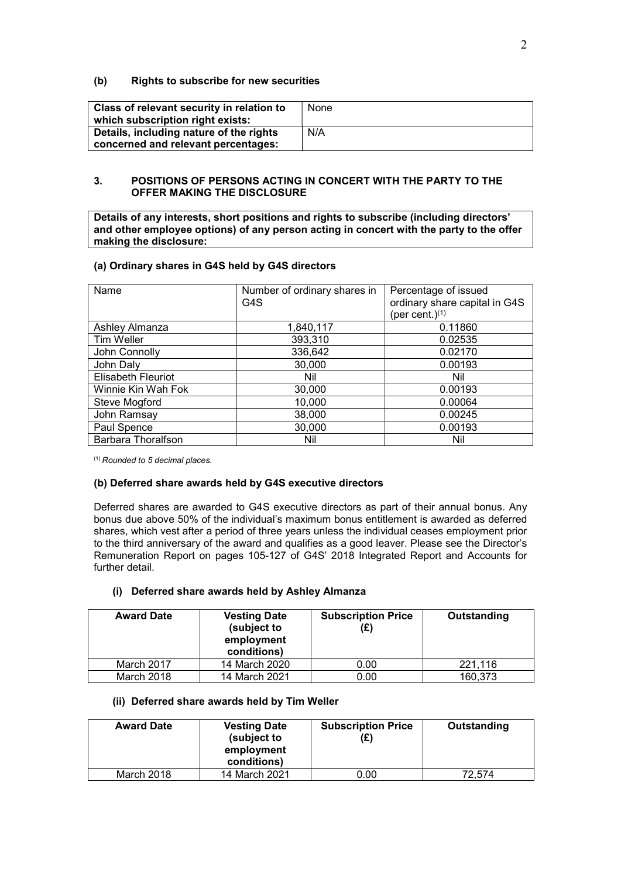## (b) Rights to subscribe for new securities

| Class of relevant security in relation to<br>which subscription right exists: | None |
|-------------------------------------------------------------------------------|------|
| Details, including nature of the rights                                       | N/A  |
| concerned and relevant percentages:                                           |      |

## 3. POSITIONS OF PERSONS ACTING IN CONCERT WITH THE PARTY TO THE OFFER MAKING THE DISCLOSURE

Details of any interests, short positions and rights to subscribe (including directors' and other employee options) of any person acting in concert with the party to the offer making the disclosure:

## (a) Ordinary shares in G4S held by G4S directors

| Name                      | Number of ordinary shares in<br>G4S | Percentage of issued<br>ordinary share capital in G4S<br>(per cent.) $(1)$ |
|---------------------------|-------------------------------------|----------------------------------------------------------------------------|
| Ashley Almanza            | 1,840,117                           | 0.11860                                                                    |
| Tim Weller                | 393,310                             | 0.02535                                                                    |
| John Connolly             | 336,642                             | 0.02170                                                                    |
| John Daly                 | 30,000                              | 0.00193                                                                    |
| <b>Elisabeth Fleuriot</b> | Nil                                 | Nil                                                                        |
| Winnie Kin Wah Fok        | 30,000                              | 0.00193                                                                    |
| Steve Mogford             | 10,000                              | 0.00064                                                                    |
| John Ramsay               | 38,000                              | 0.00245                                                                    |
| Paul Spence               | 30,000                              | 0.00193                                                                    |
| <b>Barbara Thoralfson</b> | Nil                                 | Nil                                                                        |

 $(1)$  Rounded to 5 decimal places.

# (b) Deferred share awards held by G4S executive directors

Deferred shares are awarded to G4S executive directors as part of their annual bonus. Any bonus due above 50% of the individual's maximum bonus entitlement is awarded as deferred shares, which vest after a period of three years unless the individual ceases employment prior to the third anniversary of the award and qualifies as a good leaver. Please see the Director's Remuneration Report on pages 105-127 of G4S' 2018 Integrated Report and Accounts for further detail.

### (i) Deferred share awards held by Ashley Almanza

| <b>Award Date</b> | <b>Vesting Date</b><br>(subject to<br>employment<br>conditions) | <b>Subscription Price</b><br>(£) | Outstanding |
|-------------------|-----------------------------------------------------------------|----------------------------------|-------------|
| March 2017        | 14 March 2020                                                   | 0.00                             | 221.116     |
| March 2018        | 14 March 2021                                                   | 0.00                             | 160.373     |

## (ii) Deferred share awards held by Tim Weller

| <b>Award Date</b> | <b>Vesting Date</b><br>(subject to<br>employment<br>conditions) | <b>Subscription Price</b><br>(E) | Outstanding |
|-------------------|-----------------------------------------------------------------|----------------------------------|-------------|
| March 2018        | 14 March 2021                                                   | 0.00                             | 72.574      |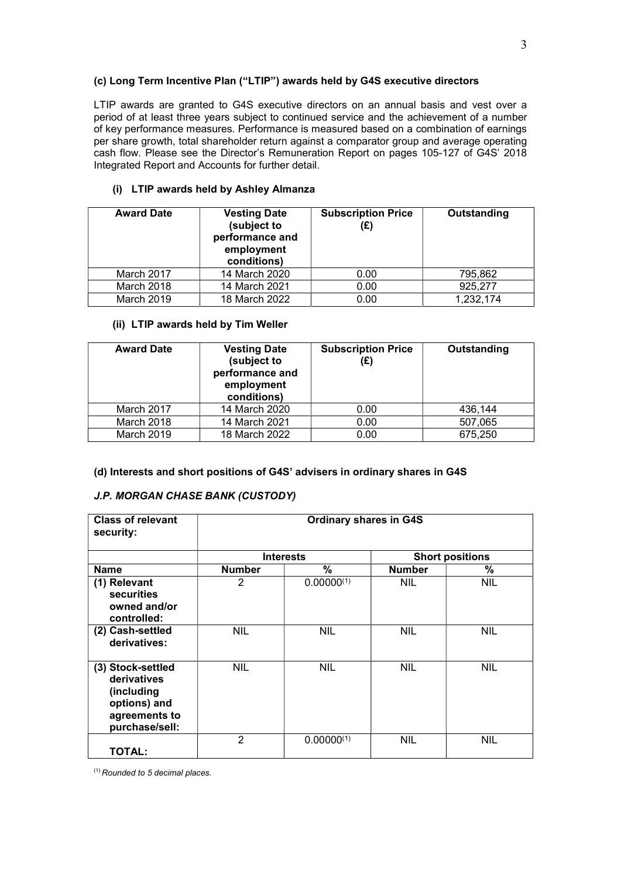## (c) Long Term Incentive Plan ("LTIP") awards held by G4S executive directors

LTIP awards are granted to G4S executive directors on an annual basis and vest over a period of at least three years subject to continued service and the achievement of a number of key performance measures. Performance is measured based on a combination of earnings per share growth, total shareholder return against a comparator group and average operating cash flow. Please see the Director's Remuneration Report on pages 105-127 of G4S' 2018 Integrated Report and Accounts for further detail.

# (i) LTIP awards held by Ashley Almanza

| <b>Award Date</b> | <b>Vesting Date</b><br>(subject to<br>performance and<br>employment<br>conditions) | <b>Subscription Price</b><br>(£) | Outstanding |
|-------------------|------------------------------------------------------------------------------------|----------------------------------|-------------|
| March 2017        | 14 March 2020                                                                      | 0.00                             | 795,862     |
| March 2018        | 14 March 2021                                                                      | 0.00                             | 925,277     |
| <b>March 2019</b> | 18 March 2022                                                                      | 0.00                             | 1,232,174   |

## (ii) LTIP awards held by Tim Weller

| <b>Award Date</b> | <b>Vesting Date</b><br>(subject to<br>performance and<br>employment<br>conditions) | <b>Subscription Price</b><br>(£) | <b>Outstanding</b> |
|-------------------|------------------------------------------------------------------------------------|----------------------------------|--------------------|
| March 2017        | 14 March 2020                                                                      | 0.00                             | 436,144            |
| March 2018        | 14 March 2021                                                                      | 0.00                             | 507,065            |
| <b>March 2019</b> | 18 March 2022                                                                      | 0.00                             | 675,250            |

# (d) Interests and short positions of G4S' advisers in ordinary shares in G4S

### J.P. MORGAN CHASE BANK (CUSTODY)

| <b>Class of relevant</b><br>security:                                                              | <b>Ordinary shares in G4S</b> |                  |               |                        |
|----------------------------------------------------------------------------------------------------|-------------------------------|------------------|---------------|------------------------|
|                                                                                                    |                               | <b>Interests</b> |               | <b>Short positions</b> |
| <b>Name</b>                                                                                        | <b>Number</b>                 | %                | <b>Number</b> | %                      |
| (1) Relevant<br><b>securities</b><br>owned and/or<br>controlled:                                   | 2                             | $0.00000^{(1)}$  | <b>NIL</b>    | <b>NIL</b>             |
| (2) Cash-settled<br>derivatives:                                                                   | <b>NIL</b>                    | <b>NIL</b>       | <b>NIL</b>    | <b>NIL</b>             |
| (3) Stock-settled<br>derivatives<br>(including)<br>options) and<br>agreements to<br>purchase/sell: | <b>NIL</b>                    | <b>NIL</b>       | <b>NIL</b>    | <b>NIL</b>             |
| <b>TOTAL:</b>                                                                                      | 2                             | $0.00000^{(1)}$  | <b>NIL</b>    | <b>NIL</b>             |

 $(1)$  Rounded to 5 decimal places.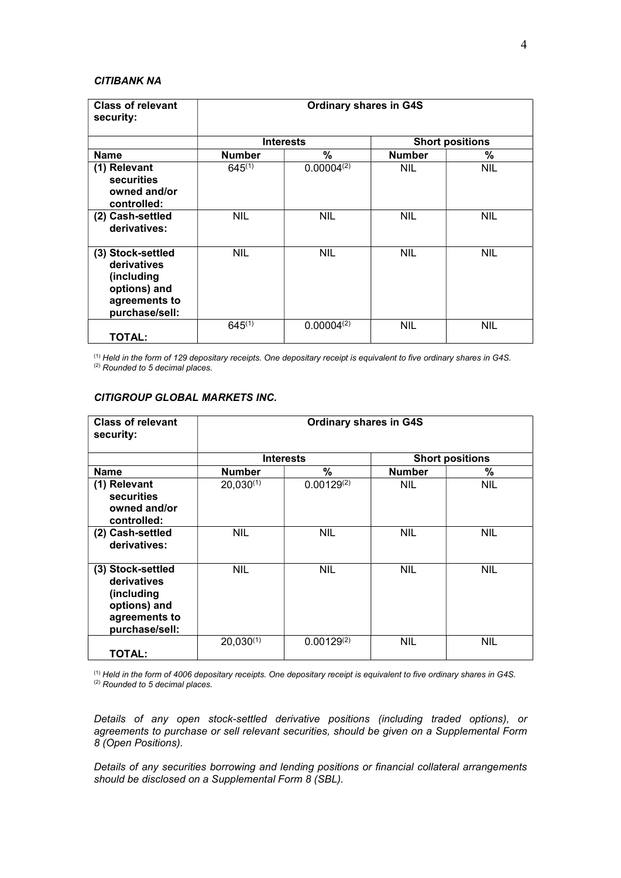### CITIBANK NA

| <b>Class of relevant</b><br>security:                                                              | <b>Ordinary shares in G4S</b> |                 |                        |            |
|----------------------------------------------------------------------------------------------------|-------------------------------|-----------------|------------------------|------------|
|                                                                                                    | <b>Interests</b>              |                 | <b>Short positions</b> |            |
| <b>Name</b>                                                                                        | <b>Number</b>                 | %               | <b>Number</b>          | %          |
| (1) Relevant<br><b>securities</b><br>owned and/or<br>controlled:                                   | $645^{(1)}$                   | $0.00004^{(2)}$ | <b>NIL</b>             | <b>NIL</b> |
| (2) Cash-settled<br>derivatives:                                                                   | <b>NIL</b>                    | <b>NIL</b>      | <b>NIL</b>             | <b>NIL</b> |
| (3) Stock-settled<br>derivatives<br>(including)<br>options) and<br>agreements to<br>purchase/sell: | <b>NIL</b>                    | <b>NIL</b>      | <b>NIL</b>             | NIL        |
| <b>TOTAL:</b>                                                                                      | $645^{(1)}$                   | $0.00004^{(2)}$ | <b>NIL</b>             | NIL        |

 $(1)$  Held in the form of 129 depositary receipts. One depositary receipt is equivalent to five ordinary shares in G4S.  $(2)$  Rounded to 5 decimal places.

|  |  | <b>CITIGROUP GLOBAL MARKETS INC.</b> |
|--|--|--------------------------------------|
|--|--|--------------------------------------|

| <b>Class of relevant</b><br>security:                                                             | <b>Ordinary shares in G4S</b> |                  |               |                        |
|---------------------------------------------------------------------------------------------------|-------------------------------|------------------|---------------|------------------------|
|                                                                                                   |                               | <b>Interests</b> |               | <b>Short positions</b> |
| <b>Name</b>                                                                                       | <b>Number</b>                 | $\%$             | <b>Number</b> | %                      |
| (1) Relevant<br>securities<br>owned and/or<br>controlled:                                         | $20,030^{(1)}$                | $0.00129^{(2)}$  | <b>NIL</b>    | NIL                    |
| (2) Cash-settled<br>derivatives:                                                                  | <b>NIL</b>                    | <b>NIL</b>       | <b>NIL</b>    | <b>NIL</b>             |
| (3) Stock-settled<br>derivatives<br>(including<br>options) and<br>agreements to<br>purchase/sell: | NIL                           | <b>NIL</b>       | <b>NIL</b>    | <b>NIL</b>             |
| TOTAL:                                                                                            | $20,030^{(1)}$                | $0.00129^{(2)}$  | <b>NIL</b>    | <b>NIL</b>             |

 $(1)$  Held in the form of 4006 depositary receipts. One depositary receipt is equivalent to five ordinary shares in G4S. (2) Rounded to 5 decimal places.

Details of any open stock-settled derivative positions (including traded options), or agreements to purchase or sell relevant securities, should be given on a Supplemental Form 8 (Open Positions).

Details of any securities borrowing and lending positions or financial collateral arrangements should be disclosed on a Supplemental Form 8 (SBL).